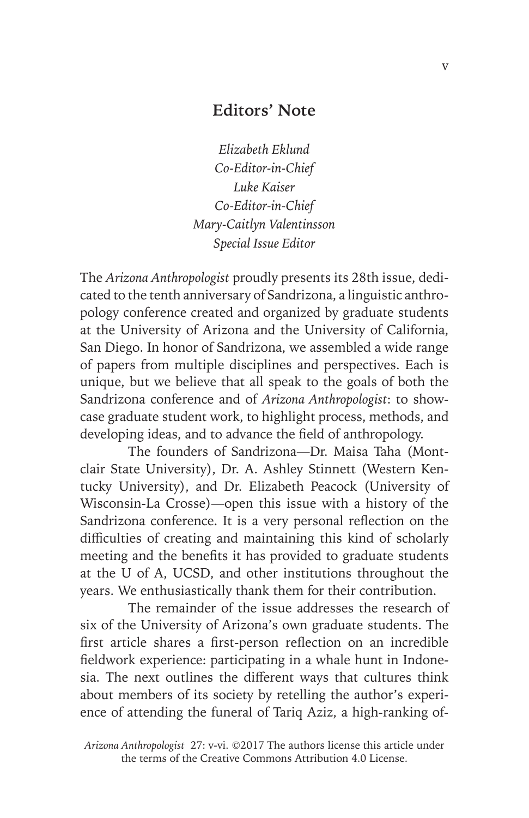## **Editors' Note**

*Elizabeth Eklund Co-Editor-in-Chief Luke Kaiser Co-Editor-in-Chief Mary-Caitlyn Valentinsson Special Issue Editor*

The *Arizona Anthropologist* proudly presents its 28th issue, dedicated to the tenth anniversary of Sandrizona, a linguistic anthropology conference created and organized by graduate students at the University of Arizona and the University of California, San Diego. In honor of Sandrizona, we assembled a wide range of papers from multiple disciplines and perspectives. Each is unique, but we believe that all speak to the goals of both the Sandrizona conference and of *Arizona Anthropologist*: to showcase graduate student work, to highlight process, methods, and developing ideas, and to advance the field of anthropology.

The founders of Sandrizona—Dr. Maisa Taha (Montclair State University), Dr. A. Ashley Stinnett (Western Kentucky University), and Dr. Elizabeth Peacock (University of Wisconsin-La Crosse)—open this issue with a history of the Sandrizona conference. It is a very personal reflection on the difficulties of creating and maintaining this kind of scholarly meeting and the benefits it has provided to graduate students at the U of A, UCSD, and other institutions throughout the years. We enthusiastically thank them for their contribution.

The remainder of the issue addresses the research of six of the University of Arizona's own graduate students. The first article shares a first-person reflection on an incredible fieldwork experience: participating in a whale hunt in Indonesia. The next outlines the different ways that cultures think about members of its society by retelling the author's experience of attending the funeral of Tariq Aziz, a high-ranking of-

*Arizona Anthropologist* 27: v-vi. ©2017 The authors license this article under the terms of the Creative Commons Attribution 4.0 License.